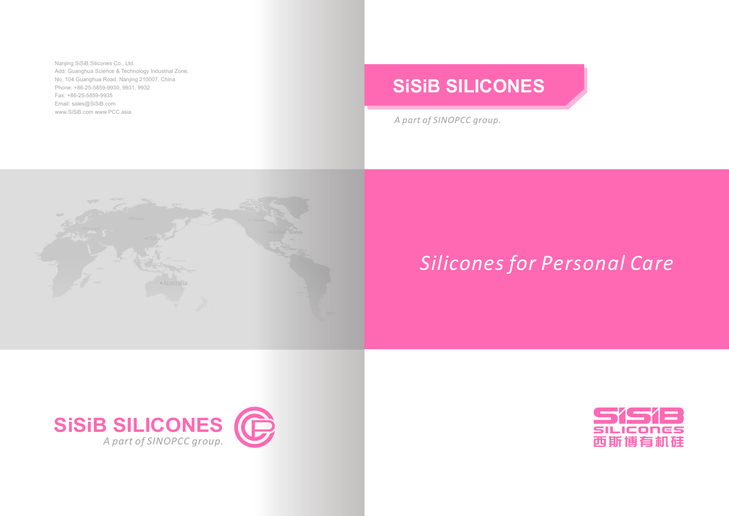Nanjing SiSiB Silicones Co., Ltd. Add: Guanghua Science & Technology Industrial Zone, No. 104 Guanghua Road, Nanjing 210007, China Phone: +86-25-5859-9930, 9931, 9932 Fax: +86-25-5859-9935 Email: sales@SiSiB.com www.SiSiB.com www.PCC.asia

*A part of SINOPCC group.*



## **SiSiB SILICONES**







## *Silicones for Personal Care*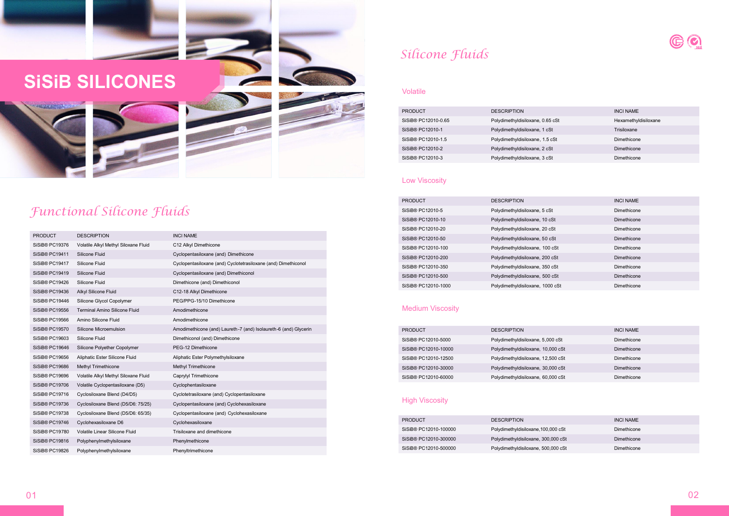## *Functional Silicone Fluids*

| <b>PRODUCT</b>                  | <b>DESCRIPTION</b>               | <b>INCI NAME</b>     |
|---------------------------------|----------------------------------|----------------------|
| SiSiB <sup>®</sup> PC12010-0.65 | Polydimethyldisiloxane, 0.65 cSt | Hexamethyldisiloxane |
| SiSiB <sup>®</sup> PC12010-1    | Polydimethyldisiloxane, 1 cSt    | Trisiloxane          |
| SiSiB <sup>®</sup> PC12010-1.5  | Polydimethyldisiloxane, 1.5 cSt  | Dimethicone          |
| SiSiB® PC12010-2                | Polydimethyldisiloxane, 2 cSt    | Dimethicone          |
| SiSiB® PC12010-3                | Polydimethyldisiloxane, 3 cSt    | Dimethicone          |

| <b>PRODUCT</b>      | <b>DESCRIPTION</b>               | <b>INCI NAME</b> |
|---------------------|----------------------------------|------------------|
| SiSiB® PC12010-5    | Polydimethyldisiloxane, 5 cSt    | Dimethicone      |
| SiSiB® PC12010-10   | Polydimethyldisiloxane, 10 cSt   | Dimethicone      |
| SiSiB® PC12010-20   | Polydimethyldisiloxane, 20 cSt   | Dimethicone      |
| SiSiB® PC12010-50   | Polydimethyldisiloxane, 50 cSt   | Dimethicone      |
| SiSiB® PC12010-100  | Polydimethyldisiloxane, 100 cSt  | Dimethicone      |
| SiSiB® PC12010-200  | Polydimethyldisiloxane, 200 cSt  | Dimethicone      |
| SiSiB® PC12010-350  | Polydimethyldisiloxane, 350 cSt  | Dimethicone      |
| SiSiB® PC12010-500  | Polydimethyldisiloxane, 500 cSt  | Dimethicone      |
| SiSiB® PC12010-1000 | Polydimethyldisiloxane, 1000 cSt | Dimethicone      |

| <b>PRODUCT</b>                   | <b>DESCRIPTION</b>                 | <b>INCI NAME</b> |
|----------------------------------|------------------------------------|------------------|
| SiSiB <sup>®</sup> PC12010-5000  | Polydimethyldisiloxane, 5,000 cSt  | Dimethicone      |
| SiSiB® PC12010-10000             | Polydimethyldisiloxane, 10,000 cSt | Dimethicone      |
| SiSiB <sup>®</sup> PC12010-12500 | Polydimethyldisiloxane, 12,500 cSt | Dimethicone      |
| SiSiB® PC12010-30000             | Polydimethyldisiloxane, 30,000 cSt | Dimethicone      |
| SiSiB <sup>®</sup> PC12010-60000 | Polydimethyldisiloxane, 60,000 cSt | Dimethicone      |

#### **High Viscosity**

| <b>PRODUCT</b>        | <b>DESCRIPTION</b>                  | <b>INCI NAME</b> |
|-----------------------|-------------------------------------|------------------|
| SiSiB® PC12010-100000 | Polydimethyldisiloxane, 100,000 cSt | Dimethicone      |
| SiSiB® PC12010-300000 | Polydimethyldisiloxane, 300,000 cSt | Dimethicone      |
| SiSiB® PC12010-500000 | Polydimethyldisiloxane, 500,000 cSt | Dimethicone      |

## *Silicone Fluids*

#### Volatile

#### Low Viscosity

### Medium Viscosity

# **SiSiB SILICONESCONTRACTOR**

| <b>PRODUCT</b>             | <b>DESCRIPTION</b>                   | <b>INCI NAME</b>                                                   |
|----------------------------|--------------------------------------|--------------------------------------------------------------------|
| SiSiB® PC19376             | Volatile Alkyl Methyl Siloxane Fluid | C12 Alkyl Dimethicone                                              |
| SiSiB® PC19411             | Silicone Fluid                       | Cyclopentasiloxane (and) Dimethicone                               |
| SiSiB® PC19417             | Silicone Fluid                       | Cyclopentasiloxane (and) Cyclotetrasiloxane (and) Dimethiconol     |
| SiSiB® PC19419             | Silicone Fluid                       | Cyclopentasiloxane (and) Dimethiconol                              |
| SiSiB® PC19426             | Silicone Fluid                       | Dimethicone (and) Dimethiconol                                     |
| SiSiB® PC19436             | Alkyl Silicone Fluid                 | C12-18 Alkyl Dimethicone                                           |
| SiSiB® PC19446             | Silicone Glycol Copolymer            | PEG/PPG-15/10 Dimethicone                                          |
| SiSiB® PC19556             | <b>Terminal Amino Silicone Fluid</b> | Amodimethicone                                                     |
| SiSiB® PC19566             | Amino Silicone Fluid                 | Amodimethicone                                                     |
| SiSiB® PC19570             | Silicone Microemulsion               | Amodimethicone (and) Laureth -7 (and) Isolaureth -6 (and) Glycerin |
| SiSiB® PC19603             | Silicone Fluid                       | Dimethiconol (and) Dimethicone                                     |
| SiSiB® PC19646             | Silicone Polyether Copolymer         | PEG-12 Dimethicone                                                 |
| SiSiB® PC19656             | Aliphatic Ester Silicone Fluid       | Aliphatic Ester Polymethylsiloxane                                 |
| SiSiB® PC19686             | <b>Methyl Trimethicone</b>           | <b>Methyl Trimethicone</b>                                         |
| SiSiB® PC19696             | Volatile Alkyl Methyl Siloxane Fluid | Caprylyl Trimethicone                                              |
| SiSiB <sup>®</sup> PC19706 | Volatile Cyclopentasiloxane (D5)     | Cyclophentasiloxane                                                |
| SiSiB® PC19716             | Cyclosiloxane Blend (D4/D5)          | Cyclotetrasiloxane (and) Cyclopentasiloxane                        |
| SiSiB <sup>®</sup> PC19736 | Cyclosiloxane Blend (D5/D6: 75/25)   | Cyclopentasiloxane (and) Cyclohexasiloxane                         |
| SiSiB® PC19738             | Cyclosiloxane Blend (D5/D6: 65/35)   | Cyclopentasiloxane (and) Cyclohexasiloxane                         |
| SiSiB® PC19746             | Cyclohexasiloxane D6                 | Cyclohexasiloxane                                                  |
| SiSiB® PC19780             | Volatile Linear Silicone Fluid       | Trisiloxane and dimethicone                                        |
| SiSiB® PC19816             | Polyphenylmethylsiloxane             | Phenylmethicone                                                    |
| SiSiB® PC19826             | Polyphenylmethylsiloxane             | Phenyltrimethicone                                                 |
|                            |                                      |                                                                    |

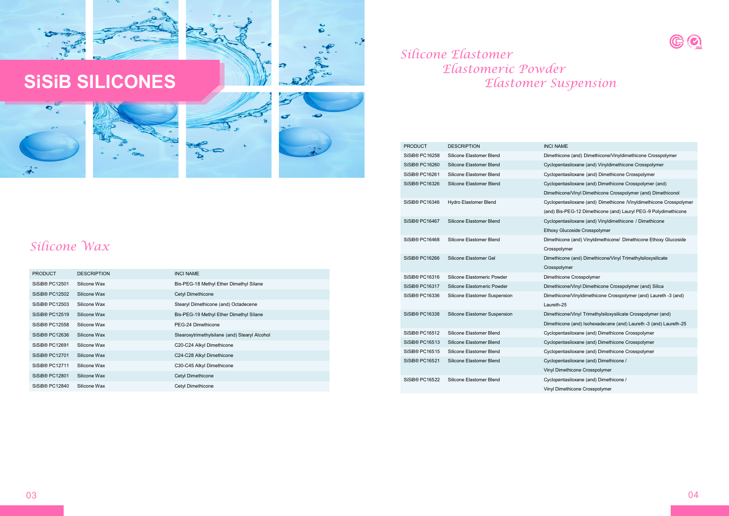



| <b>PRODUCT</b>             | <b>DESCRIPTION</b> | <b>INCI NAME</b>                              |
|----------------------------|--------------------|-----------------------------------------------|
| SiSiB <sup>®</sup> PC12501 | Silicone Wax       | Bis-PEG-18 Methyl Ether Dimethyl Silane       |
| SiSiB® PC12502             | Silicone Wax       | Cetyl Dimethicone                             |
| SiSiB® PC12503             | Silicone Wax       | Stearyl Dimethicone (and) Octadecene          |
| SiSiB® PC12519             | Silicone Wax       | Bis-PEG-19 Methyl Ether Dimethyl Silane       |
| SiSiB® PC12558             | Silicone Wax       | PEG-24 Dimethicone                            |
| SiSiB® PC12636             | Silicone Wax       | Stearoxytrimethylsilane (and) Stearyl Alcohol |
| SiSiB® PC12691             | Silicone Wax       | C20-C24 Alkyl Dimethicone                     |
| SiSiB® PC12701             | Silicone Wax       | C24-C28 Alkyl Dimethicone                     |
| SiSiB® PC12711             | Silicone Wax       | C30-C45 Alkyl Dimethicone                     |
| SiSiB® PC12801             | Silicone Wax       | Cetyl Dimethicone                             |
| SiSiB® PC12840             | Silicone Wax       | Cetyl Dimethicone                             |

## *Silicone Wax*

 $\bullet$ 

 $\mathbf{a}$ 



# *Elastomer Suspension*



- 
- 
- 
- Dimethicone/Vinyl Dimethicone Crosspolymer (and) Dimethiconol
	-
- (and) Bis-PEG-12 Dimethicone (and) Lauryl PEG-9 Polydimethicone
	-
- Ethoxy Glucoside Crosspolymer
- Crosspolymer
	-
	-
	-
	-
- Laureth-25
	-
- Dimethicone (and) Isohexadecane (and) Laureth -3 (and) Laureth-25
	-
	-
	-
	-
- Vinyl Dimethicone Crosspolymer
	-
- Vinyl Dimethicone Crosspolymer